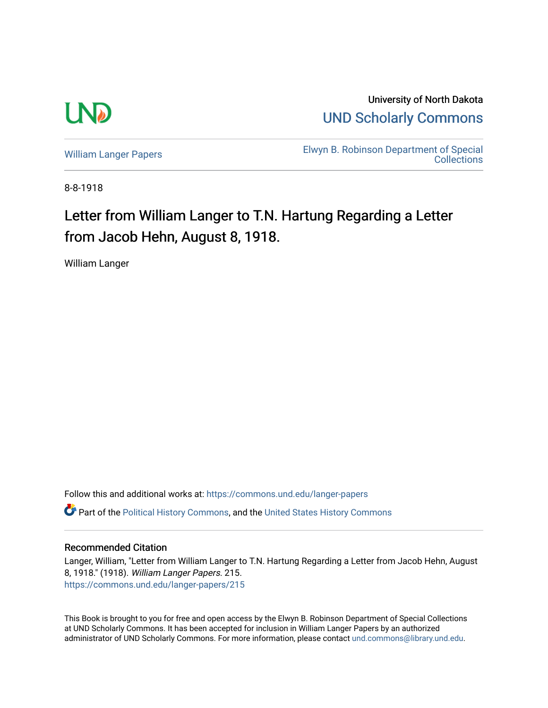

University of North Dakota [UND Scholarly Commons](https://commons.und.edu/) 

[William Langer Papers](https://commons.und.edu/langer-papers) **Elwyn B. Robinson Department of Special** [Collections](https://commons.und.edu/archives) 

8-8-1918

## Letter from William Langer to T.N. Hartung Regarding a Letter from Jacob Hehn, August 8, 1918.

William Langer

Follow this and additional works at: [https://commons.und.edu/langer-papers](https://commons.und.edu/langer-papers?utm_source=commons.und.edu%2Flanger-papers%2F215&utm_medium=PDF&utm_campaign=PDFCoverPages)  **C** Part of the [Political History Commons,](http://network.bepress.com/hgg/discipline/505?utm_source=commons.und.edu%2Flanger-papers%2F215&utm_medium=PDF&utm_campaign=PDFCoverPages) and the [United States History Commons](http://network.bepress.com/hgg/discipline/495?utm_source=commons.und.edu%2Flanger-papers%2F215&utm_medium=PDF&utm_campaign=PDFCoverPages)

## Recommended Citation

Langer, William, "Letter from William Langer to T.N. Hartung Regarding a Letter from Jacob Hehn, August 8, 1918." (1918). William Langer Papers. 215. [https://commons.und.edu/langer-papers/215](https://commons.und.edu/langer-papers/215?utm_source=commons.und.edu%2Flanger-papers%2F215&utm_medium=PDF&utm_campaign=PDFCoverPages) 

This Book is brought to you for free and open access by the Elwyn B. Robinson Department of Special Collections at UND Scholarly Commons. It has been accepted for inclusion in William Langer Papers by an authorized administrator of UND Scholarly Commons. For more information, please contact [und.commons@library.und.edu.](mailto:und.commons@library.und.edu)